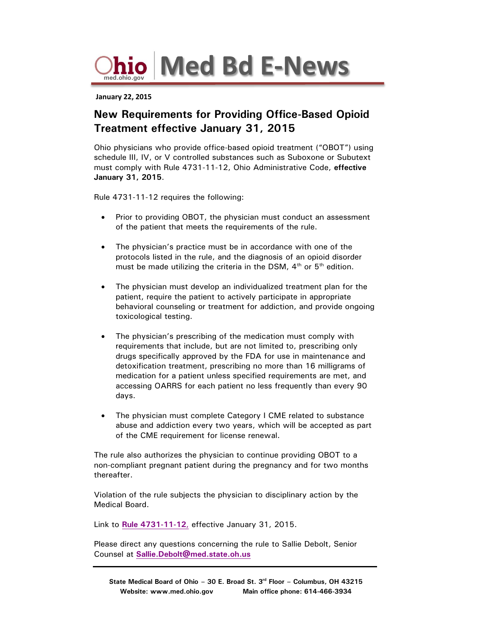**med.ohio.gov Med Bd E-News**

 **January 22, 2015**

## **New Requirements for Providing Office-Based Opioid Treatment effective January 31, 2015**

Ohio physicians who provide office-based opioid treatment ("OBOT") using schedule III, IV, or V controlled substances such as Suboxone or Subutext must comply with Rule 4731-11-12, Ohio Administrative Code, **effective January 31, 2015**.

Rule 4731-11-12 requires the following:

- Prior to providing OBOT, the physician must conduct an assessment of the patient that meets the requirements of the rule.
- The physician's practice must be in accordance with one of the protocols listed in the rule, and the diagnosis of an opioid disorder must be made utilizing the criteria in the DSM,  $4<sup>th</sup>$  or  $5<sup>th</sup>$  edition.
- The physician must develop an individualized treatment plan for the patient, require the patient to actively participate in appropriate behavioral counseling or treatment for addiction, and provide ongoing toxicological testing.
- The physician's prescribing of the medication must comply with requirements that include, but are not limited to, prescribing only drugs specifically approved by the FDA for use in maintenance and detoxification treatment, prescribing no more than 16 milligrams of medication for a patient unless specified requirements are met, and accessing OARRS for each patient no less frequently than every 90 days.
- The physician must complete Category I CME related to substance abuse and addiction every two years, which will be accepted as part of the CME requirement for license renewal.

The rule also authorizes the physician to continue providing OBOT to a non-compliant pregnant patient during the pregnancy and for two months thereafter.

Violation of the rule subjects the physician to disciplinary action by the Medical Board.

Link to **[Rule 4731-11-12](http://med.ohio.gov/pdf/rules/NewRules/4731-11-12-eff-1-31-15.pdf)**, effective January 31, 2015.

Please direct any questions concerning the rule to Sallie Debolt, Senior Counsel at **[Sallie.Debolt@med.state.oh.us](mailto:Sallie.Debolt@med.state.oh.us)**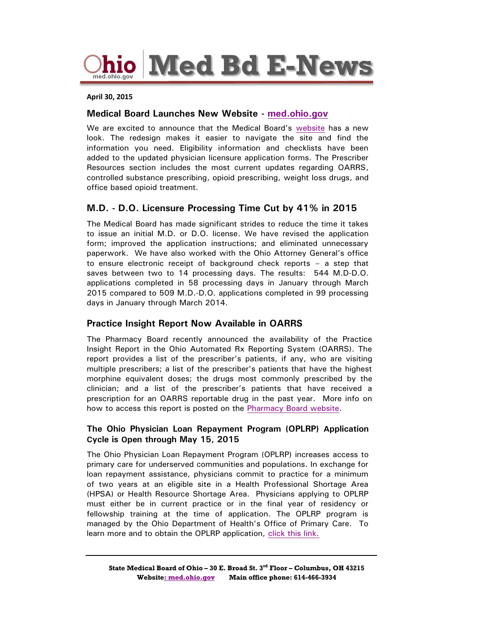**hio Med Bd E-News** 

#### **April 30, 2015**

#### **Medical Board Launches New Website - [med.ohio.gov](http://med.ohio.gov/)**

We are excited to announce that the Medical Board's [website](http://med.ohio.gov/) has a new look. The redesign makes it easier to navigate the site and find the information you need. Eligibility information and checklists have been added to the updated physician licensure application forms. The Prescriber Resources section includes the most current updates regarding OARRS, controlled substance prescribing, opioid prescribing, weight loss drugs, and office based opioid treatment.

#### **M.D. - D.O. Licensure Processing Time Cut by 41% in 2015**

The Medical Board has made significant strides to reduce the time it takes to issue an initial M.D. or D.O. license. We have revised the application form; improved the application instructions; and eliminated unnecessary paperwork. We have also worked with the Ohio Attorney General's office to ensure electronic receipt of background check reports – a step that saves between two to 14 processing days. The results: 544 M.D-D.O. applications completed in 58 processing days in January through March 2015 compared to 509 M.D.-D.O. applications completed in 99 processing days in January through March 2014.

#### **Practice Insight Report Now Available in OARRS**

The Pharmacy Board recently announced the availability of the Practice Insight Report in the Ohio Automated Rx Reporting System (OARRS). The report provides a list of the prescriber's patients, if any, who are visiting multiple prescribers; a list of the prescriber's patients that have the highest morphine equivalent doses; the drugs most commonly prescribed by the clinician; and a list of the prescriber's patients that have received a prescription for an OARRS reportable drug in the past year. More info on how to access this report is posted on the [Pharmacy Board website.](http://pharmacy.ohio.gov/Documents/Pubs/Special/OARRS/The%20State%20of%20Ohio%20Board%20of%20Pharmacy%20Announces%20the%20Availability%20of%20the%20Practice%20Insight%20Report.pdf)

#### **The Ohio Physician Loan Repayment Program (OPLRP) Application Cycle is Open through May 15, 2015**

The Ohio Physician Loan Repayment Program (OPLRP) increases access to primary care for underserved communities and populations. In exchange for loan repayment assistance, physicians commit to practice for a minimum of two years at an eligible site in a Health Professional Shortage Area (HPSA) or Health Resource Shortage Area. Physicians applying to OPLRP must either be in current practice or in the final year of residency or fellowship training at the time of application. The OPLRP program is managed by the Ohio Department of Health's Office of Primary Care. To learn more and to obtain the OPLRP application, [click this link.](http://www.odh.ohio.gov/odhprograms/chss/pcrh_programs/recruitment/slrp.aspx)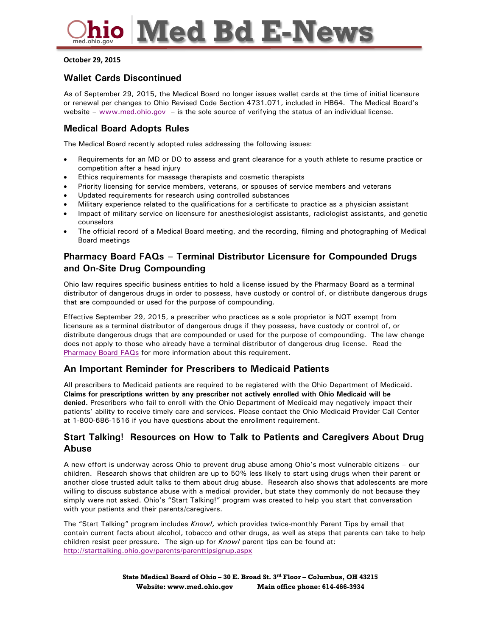# **Med Bd E-News**

#### **October 29, 2015**

### **Wallet Cards Discontinued**

As of September 29, 2015, the Medical Board no longer issues wallet cards at the time of initial licensure or renewal per changes to Ohio Revised Code Section 4731.071, included in HB64. The Medical Board's website – [www.med.ohio.gov](http://www.med.ohio.gov/) – is the sole source of verifying the status of an individual license.

### **Medical Board Adopts Rules**

The Medical Board recently [adopted rules](http://www.med.ohio.gov/LawsRules/NewlyAdoptedandProposedRules.aspx) addressing the following issues:

- Requirements for an MD or DO to assess and grant clearance for a youth athlete to resume practice or competition after a head injury
- Ethics requirements for massage therapists and cosmetic therapists
- Priority licensing for service members, veterans, or spouses of service members and veterans
- Updated requirements for research using controlled substances
- Military experience related to the qualifications for a certificate to practice as a physician assistant
- Impact of military service on licensure for anesthesiologist assistants, radiologist assistants, and genetic counselors
- The official record of a Medical Board meeting, and the recording, filming and photographing of Medical Board meetings

## **Pharmacy Board FAQs – Terminal Distributor Licensure for Compounded Drugs and On-Site Drug Compounding**

Ohio law requires specific business entities to hold a license issued by the Pharmacy Board as a terminal distributor of dangerous drugs in order to possess, have custody or control of, or distribute dangerous drugs that are compounded or used for the purpose of compounding.

Effective September 29, 2015, a prescriber who practices as a sole proprietor is NOT exempt from licensure as a terminal distributor of dangerous drugs if they possess, have custody or control of, or distribute dangerous drugs that are compounded or used for the purpose of compounding. The law change does not apply to those who already have a terminal distributor of dangerous drug license. Read the [Pharmacy Board FAQs](https://pharmacy.ohio.gov/Documents/TDDD/General/Frequently%20Asked%20Questions%20-%20Terminal%20Distributor%20Licensure%20for%20Compounded%20Drugs%20and%20Compounding%20Drugs%20On-Site.pdf) for more information about this requirement.

### **An Important Reminder for Prescribers to Medicaid Patients**

All prescribers to Medicaid patients are required to be registered with the Ohio Department of Medicaid. **Claims for prescriptions written by any prescriber not actively enrolled with Ohio Medicaid will be denied.** Prescribers who fail to enroll with the Ohio Department of Medicaid may negatively impact their patients' ability to receive timely care and services. Please contact the Ohio Medicaid Provider Call Center at 1-800-686-1516 if you have questions about the enrollment requirement.

### **Start Talking! Resources on How to Talk to Patients and Caregivers About Drug Abuse**

A new effort is underway across Ohio to prevent drug abuse among Ohio's most vulnerable citizens – our children. Research shows that children are up to 50% less likely to start using drugs when their parent or another close trusted adult talks to them about drug abuse. Research also shows that adolescents are more willing to discuss substance abuse with a medical provider, but state they commonly do not because they simply were not asked. Ohio's ["Start Talking!"](http://starttalking.ohio.gov/) program was created to help you start that conversation with your patients and their parents/caregivers.

The "Start Talking" program includes *Know!,* which provides twice-monthly Parent Tips by email that contain current facts about alcohol, tobacco and other drugs, as well as steps that parents can take to help children resist peer pressure. The sign-up for *Know!* parent tips can be found at: <http://starttalking.ohio.gov/parents/parenttipsignup.aspx>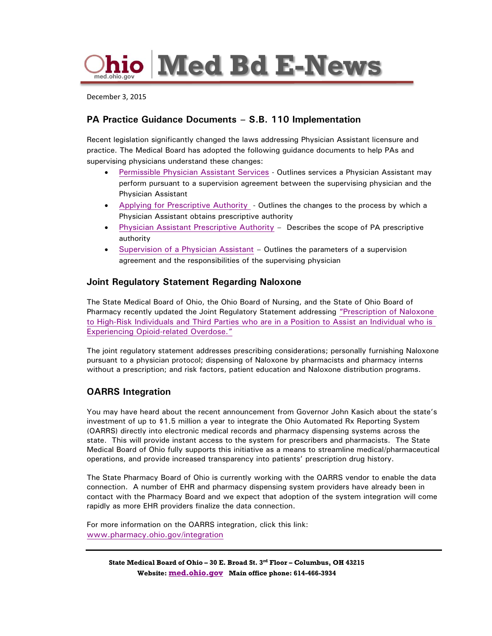

December 3, 2015

## **PA Practice Guidance Documents – S.B. 110 Implementation**

Recent legislation significantly changed the laws addressing Physician Assistant licensure and practice. The Medical Board has adopted the following guidance documents to help PAs and supervising physicians understand these changes:

- [Permissible Physician Assistant Services](http://med.ohio.gov/Portals/0/DNN/PDF-FOLDERS/Center-Panel/PA-Permissible-Activities.pdf) Outlines services a Physician Assistant may perform pursuant to a supervision agreement between the supervising physician and the Physician Assistant
- [Applying for Prescriptive Authority](http://med.ohio.gov/Portals/0/DNN/PDF-FOLDERS/Center-Panel/News-Folder/Implementatin-of-SB110.pdf)  Outlines the changes to the process by which a Physician Assistant obtains prescriptive authority
- [Physician Assistant Prescriptive Authority](http://med.ohio.gov/Portals/0/DNN/PDF-FOLDERS/Center-Panel/PA-Prescriptive-Authority.pdf) Describes the scope of PA prescriptive authority
- [Supervision of a Physician Assistant](http://www.med.ohio.gov/Portals/0/DNN/PDF-FOLDERS/Center-Panel/PA-Physician-Supervision.pdf) Outlines the parameters of a supervision agreement and the responsibilities of the supervising physician

#### **Joint Regulatory Statement Regarding Naloxone**

The State Medical Board of Ohio, the Ohio Board of Nursing, and the State of Ohio Board of Pharmacy recently updated the Joint Regulatory Statement addressing ["Prescription of Naloxone](http://www.med.ohio.gov/Portals/0/DNN/PDF-FOLDERS/Laws-Rules/Position-Statement/Naloxone-Joint-Regulatory-Statement.pdf)  [to High-Risk Individuals and Third Parties who are in a Position to Assist an Individual who is](http://www.med.ohio.gov/Portals/0/DNN/PDF-FOLDERS/Laws-Rules/Position-Statement/Naloxone-Joint-Regulatory-Statement.pdf)  [Experiencing Opioid-related Overdose.](http://www.med.ohio.gov/Portals/0/DNN/PDF-FOLDERS/Laws-Rules/Position-Statement/Naloxone-Joint-Regulatory-Statement.pdf)"

The [joint regulatory statement](http://www.med.ohio.gov/Portals/0/DNN/PDF-FOLDERS/Laws-Rules/Position-Statement/Naloxone-Joint-Regulatory-Statement.pdf) addresses prescribing considerations; personally furnishing Naloxone pursuant to a physician protocol; dispensing of Naloxone by pharmacists and pharmacy interns without a prescription; and risk factors, patient education and Naloxone distribution programs.

### **OARRS Integration**

You may have heard about the recent announcement from Governor John Kasich about the state's investment of up to \$1.5 million a year to integrate the Ohio Automated Rx Reporting System (OARRS) directly into electronic medical records and pharmacy dispensing systems across the state. This will provide instant access to the system for prescribers and pharmacists. The State Medical Board of Ohio fully supports this initiative as a means to streamline medical/pharmaceutical operations, and provide increased transparency into patients' prescription drug history.

The State Pharmacy Board of Ohio is currently working with the OARRS vendor to enable the data connection. A number of EHR and pharmacy dispensing system providers have already been in contact with the Pharmacy Board and we expect that adoption of the system integration will come rapidly as more EHR providers finalize the data connection.

For more information on the OARRS integration, click this link: [www.pharmacy.ohio.gov/integration](http://www.pharmacy.ohio.gov/integration)

**State Medical Board of Ohio – 30 E. Broad St. 3rd Floor – Columbus, OH 43215 Website: [med.ohio.gov](http://www.med.ohio.gov/) Main office phone: 614-466-3934**